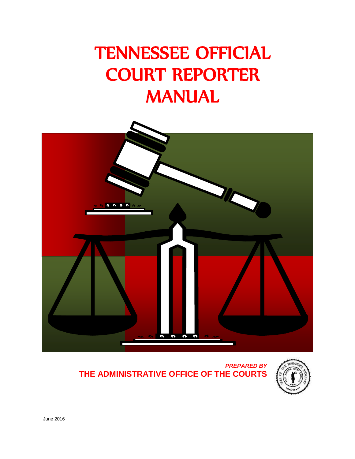# TENNESSEE OFFICIAL COURT REPORTER MANUAL



*PREPARED BY* **THE ADMINISTRATIVE OFFICE OF THE COURTS**



June 2016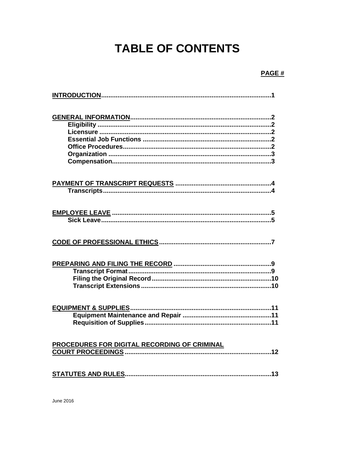## **TABLE OF CONTENTS**

| PROCEDURES FOR DIGITAL RECORDING OF CRIMINAL |
|----------------------------------------------|
|                                              |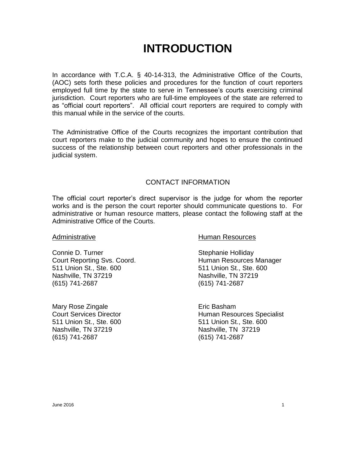### **INTRODUCTION**

In accordance with T.C.A. § 40-14-313, the Administrative Office of the Courts, (AOC) sets forth these policies and procedures for the function of court reporters employed full time by the state to serve in Tennessee's courts exercising criminal jurisdiction. Court reporters who are full-time employees of the state are referred to as "official court reporters". All official court reporters are required to comply with this manual while in the service of the courts.

The Administrative Office of the Courts recognizes the important contribution that court reporters make to the judicial community and hopes to ensure the continued success of the relationship between court reporters and other professionals in the judicial system.

#### CONTACT INFORMATION

The official court reporter's direct supervisor is the judge for whom the reporter works and is the person the court reporter should communicate questions to. For administrative or human resource matters, please contact the following staff at the Administrative Office of the Courts.

Connie D. Turner Stephanie Holliday Court Reporting Svs. Coord. The Manager Human Resources Manager 511 Union St., Ste. 600 511 Union St., Ste. 600 Nashville, TN 37219 Nashville, TN 37219 (615) 741-2687 (615) 741-2687

Mary Rose Zingale **Example 20** Eric Basham 511 Union St., Ste. 600 511 Union St., Ste. 600 Nashville, TN 37219 Nashville, TN 37219 (615) 741-2687 (615) 741-2687

#### Administrative **Human Resources**

Court Services Director **Exercise Services** Human Resources Specialist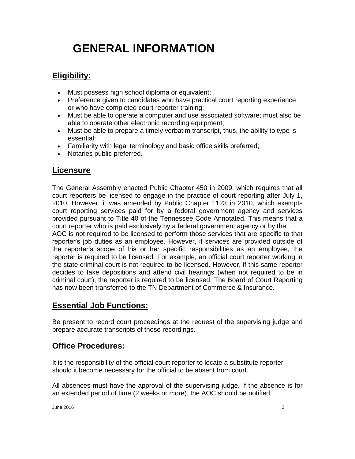## **GENERAL INFORMATION**

### **Eligibility:**

- Must possess high school diploma or equivalent;
- Preference given to candidates who have practical court reporting experience or who have completed court reporter training;
- Must be able to operate a computer and use associated software; must also be able to operate other electronic recording equipment;
- Must be able to prepare a timely verbatim transcript, thus, the ability to type is essential;
- Familiarity with legal terminology and basic office skills preferred;
- Notaries public preferred.

#### **Licensure**

The General Assembly enacted Public Chapter 450 in 2009, which requires that all court reporters be licensed to engage in the practice of court reporting after July 1, 2010. However, it was amended by Public Chapter 1123 in 2010, which exempts court reporting services paid for by a federal government agency and services provided pursuant to Title 40 of the Tennessee Code Annotated. This means that a court reporter who is paid exclusively by a federal government agency or by the AOC is not required to be licensed to perform those services that are specific to that reporter's job duties as an employee. However, if services are provided outside of the reporter's scope of his or her specific responsibilities as an employee, the reporter is required to be licensed. For example, an official court reporter working in the state criminal court is not required to be licensed. However, if this same reporter decides to take depositions and attend civil hearings (when not required to be in criminal court), the reporter is required to be licensed. The Board of Court Reporting has now been transferred to the TN Department of Commerce & Insurance.

#### **Essential Job Functions:**

Be present to record court proceedings at the request of the supervising judge and prepare accurate transcripts of those recordings.

#### **Office Procedures:**

It is the responsibility of the official court reporter to locate a substitute reporter should it become necessary for the official to be absent from court.

All absences must have the approval of the supervising judge. If the absence is for an extended period of time (2 weeks or more), the AOC should be notified.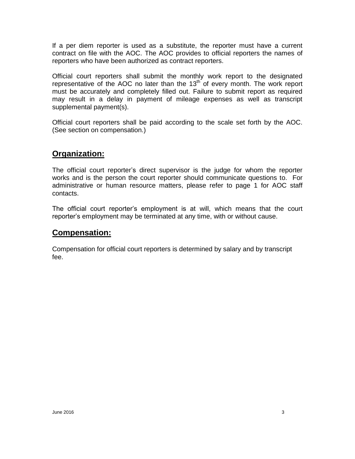If a per diem reporter is used as a substitute, the reporter must have a current contract on file with the AOC. The AOC provides to official reporters the names of reporters who have been authorized as contract reporters.

Official court reporters shall submit the monthly work report to the designated representative of the AOC no later than the  $13<sup>th</sup>$  of every month. The work report must be accurately and completely filled out. Failure to submit report as required may result in a delay in payment of mileage expenses as well as transcript supplemental payment(s).

Official court reporters shall be paid according to the scale set forth by the AOC. (See section on compensation.)

#### **Organization:**

The official court reporter's direct supervisor is the judge for whom the reporter works and is the person the court reporter should communicate questions to. For administrative or human resource matters, please refer to page 1 for AOC staff contacts.

The official court reporter's employment is at will, which means that the court reporter's employment may be terminated at any time, with or without cause.

#### **Compensation:**

Compensation for official court reporters is determined by salary and by transcript fee.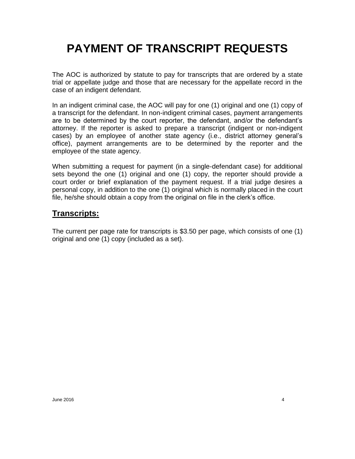## **PAYMENT OF TRANSCRIPT REQUESTS**

The AOC is authorized by statute to pay for transcripts that are ordered by a state trial or appellate judge and those that are necessary for the appellate record in the case of an indigent defendant.

In an indigent criminal case, the AOC will pay for one (1) original and one (1) copy of a transcript for the defendant. In non-indigent criminal cases, payment arrangements are to be determined by the court reporter, the defendant, and/or the defendant's attorney. If the reporter is asked to prepare a transcript (indigent or non-indigent cases) by an employee of another state agency (i.e., district attorney general's office), payment arrangements are to be determined by the reporter and the employee of the state agency.

When submitting a request for payment (in a single-defendant case) for additional sets beyond the one (1) original and one (1) copy, the reporter should provide a court order or brief explanation of the payment request. If a trial judge desires a personal copy, in addition to the one (1) original which is normally placed in the court file, he/she should obtain a copy from the original on file in the clerk's office.

#### **Transcripts:**

The current per page rate for transcripts is \$3.50 per page, which consists of one (1) original and one (1) copy (included as a set).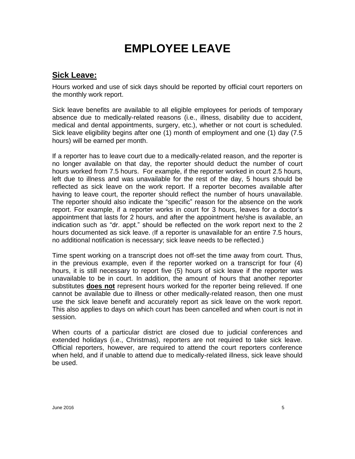### **EMPLOYEE LEAVE**

#### **Sick Leave:**

Hours worked and use of sick days should be reported by official court reporters on the monthly work report.

Sick leave benefits are available to all eligible employees for periods of temporary absence due to medically-related reasons (i.e., illness, disability due to accident, medical and dental appointments, surgery, etc.), whether or not court is scheduled. Sick leave eligibility begins after one (1) month of employment and one (1) day (7.5 hours) will be earned per month.

If a reporter has to leave court due to a medically-related reason, and the reporter is no longer available on that day, the reporter should deduct the number of court hours worked from 7.5 hours. For example, if the reporter worked in court 2.5 hours, left due to illness and was unavailable for the rest of the day, 5 hours should be reflected as sick leave on the work report. If a reporter becomes available after having to leave court, the reporter should reflect the number of hours unavailable. The reporter should also indicate the "specific" reason for the absence on the work report. For example, if a reporter works in court for 3 hours, leaves for a doctor's appointment that lasts for 2 hours, and after the appointment he/she is available, an indication such as "dr. appt." should be reflected on the work report next to the 2 hours documented as sick leave. (If a reporter is unavailable for an entire 7.5 hours, no additional notification is necessary; sick leave needs to be reflected.)

Time spent working on a transcript does not off-set the time away from court. Thus, in the previous example, even if the reporter worked on a transcript for four (4) hours, it is still necessary to report five (5) hours of sick leave if the reporter was unavailable to be in court. In addition, the amount of hours that another reporter substitutes **does not** represent hours worked for the reporter being relieved. If one cannot be available due to illness or other medically-related reason, then one must use the sick leave benefit and accurately report as sick leave on the work report. This also applies to days on which court has been cancelled and when court is not in session.

When courts of a particular district are closed due to judicial conferences and extended holidays (i.e., Christmas), reporters are not required to take sick leave. Official reporters, however, are required to attend the court reporters conference when held, and if unable to attend due to medically-related illness, sick leave should be used.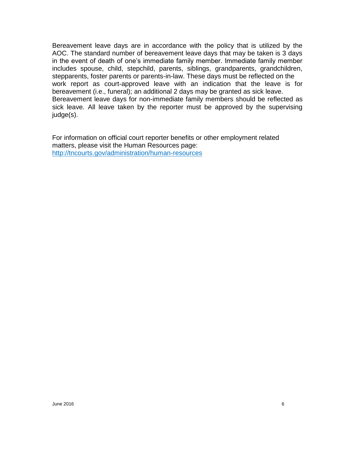Bereavement leave days are in accordance with the policy that is utilized by the AOC. The standard number of bereavement leave days that may be taken is 3 days in the event of death of one's immediate family member. Immediate family member includes spouse, child, stepchild, parents, siblings, grandparents, grandchildren, stepparents, foster parents or parents-in-law. These days must be reflected on the work report as court-approved leave with an indication that the leave is for bereavement (i.e., funeral); an additional 2 days may be granted as sick leave. Bereavement leave days for non-immediate family members should be reflected as sick leave. All leave taken by the reporter must be approved by the supervising judge(s).

For information on official court reporter benefits or other employment related matters, please visit the Human Resources page: http://tncourts.gov/administration/human-resources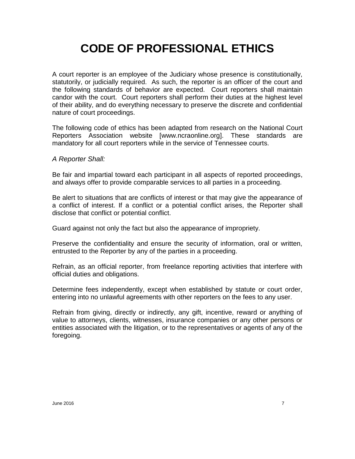## **CODE OF PROFESSIONAL ETHICS**

A court reporter is an employee of the Judiciary whose presence is constitutionally, statutorily, or judicially required. As such, the reporter is an officer of the court and the following standards of behavior are expected. Court reporters shall maintain candor with the court. Court reporters shall perform their duties at the highest level of their ability, and do everything necessary to preserve the discrete and confidential nature of court proceedings.

The following code of ethics has been adapted from research on the National Court Reporters Association website [www.ncraonline.org]. These standards are mandatory for all court reporters while in the service of Tennessee courts.

#### *A Reporter Shall:*

Be fair and impartial toward each participant in all aspects of reported proceedings, and always offer to provide comparable services to all parties in a proceeding.

Be alert to situations that are conflicts of interest or that may give the appearance of a conflict of interest. If a conflict or a potential conflict arises, the Reporter shall disclose that conflict or potential conflict.

Guard against not only the fact but also the appearance of impropriety.

Preserve the confidentiality and ensure the security of information, oral or written, entrusted to the Reporter by any of the parties in a proceeding.

Refrain, as an official reporter, from freelance reporting activities that interfere with official duties and obligations.

Determine fees independently, except when established by statute or court order, entering into no unlawful agreements with other reporters on the fees to any user.

Refrain from giving, directly or indirectly, any gift, incentive, reward or anything of value to attorneys, clients, witnesses, insurance companies or any other persons or entities associated with the litigation, or to the representatives or agents of any of the foregoing.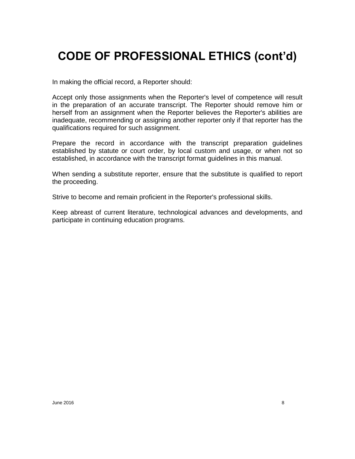### **CODE OF PROFESSIONAL ETHICS (cont'd)**

In making the official record, a Reporter should:

Accept only those assignments when the Reporter's level of competence will result in the preparation of an accurate transcript. The Reporter should remove him or herself from an assignment when the Reporter believes the Reporter's abilities are inadequate, recommending or assigning another reporter only if that reporter has the qualifications required for such assignment.

Prepare the record in accordance with the transcript preparation guidelines established by statute or court order, by local custom and usage, or when not so established, in accordance with the transcript format guidelines in this manual.

When sending a substitute reporter, ensure that the substitute is qualified to report the proceeding.

Strive to become and remain proficient in the Reporter's professional skills.

Keep abreast of current literature, technological advances and developments, and participate in continuing education programs.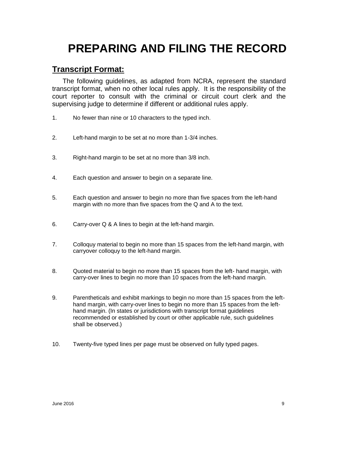### **PREPARING AND FILING THE RECORD**

#### **Transcript Format:**

The following guidelines, as adapted from NCRA, represent the standard transcript format, when no other local rules apply. It is the responsibility of the court reporter to consult with the criminal or circuit court clerk and the supervising judge to determine if different or additional rules apply.

- 1. No fewer than nine or 10 characters to the typed inch.
- 2. Left-hand margin to be set at no more than 1-3/4 inches.
- 3. Right-hand margin to be set at no more than 3/8 inch.
- 4. Each question and answer to begin on a separate line.
- 5. Each question and answer to begin no more than five spaces from the left-hand margin with no more than five spaces from the Q and A to the text.
- 6. Carry-over Q & A lines to begin at the left-hand margin.
- 7. Colloquy material to begin no more than 15 spaces from the left-hand margin, with carryover colloquy to the left-hand margin.
- 8. Quoted material to begin no more than 15 spaces from the left- hand margin, with carry-over lines to begin no more than 10 spaces from the left-hand margin.
- 9. Parentheticals and exhibit markings to begin no more than 15 spaces from the lefthand margin, with carry-over lines to begin no more than 15 spaces from the lefthand margin. (In states or jurisdictions with transcript format guidelines recommended or established by court or other applicable rule, such guidelines shall be observed.)
- 10. Twenty-five typed lines per page must be observed on fully typed pages.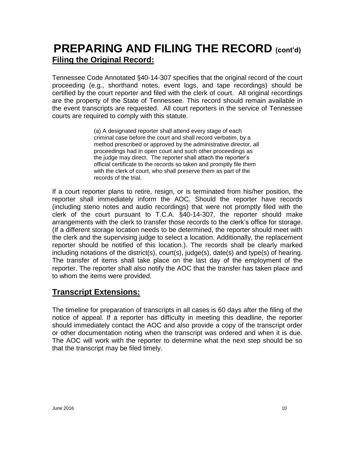### **PREPARING AND FILING THE RECORD (cont'd) Filing the Original Record:**

Tennessee Code Annotated §40-14-307 specifies that the original record of the court proceeding (e.g., shorthand notes, event logs, and tape recordings) should be certified by the court reporter and filed with the clerk of court. All original recordings are the property of the State of Tennessee. This record should remain available in the event transcripts are requested. All court reporters in the service of Tennessee courts are required to comply with this statute.

> (a) A designated reporter shall attend every stage of each criminal case before the court and shall record verbatim, by a method prescribed or approved by the administrative director, all proceedings had in open court and such other proceedings as the judge may direct. The reporter shall attach the reporter's official certificate to the records so taken and promptly file them with the clerk of court, who shall preserve them as part of the records of the trial.

If a court reporter plans to retire, resign, or is terminated from his/her position, the reporter shall immediately inform the AOC. Should the reporter have records (including steno notes and audio recordings) that were not promptly filed with the clerk of the court pursuant to T.C.A. §40-14-307, the reporter should make arrangements with the clerk to transfer those records to the clerk's office for storage. (If a different storage location needs to be determined, the reporter should meet with the clerk and the supervising judge to select a location. Additionally, the replacement reporter should be notified of this location.). The records shall be clearly marked including notations of the district(s), court(s), judge(s), date(s) and type(s) of hearing. The transfer of items shall take place on the last day of the employment of the reporter. The reporter shall also notify the AOC that the transfer has taken place and to whom the items were provided.

#### **Transcript Extensions:**

The timeline for preparation of transcripts in all cases is 60 days after the filing of the notice of appeal. If a reporter has difficulty in meeting this deadline, the reporter should immediately contact the AOC and also provide a copy of the transcript order or other documentation noting when the transcript was ordered and when it is due. The AOC will work with the reporter to determine what the next step should be so that the transcript may be filed timely.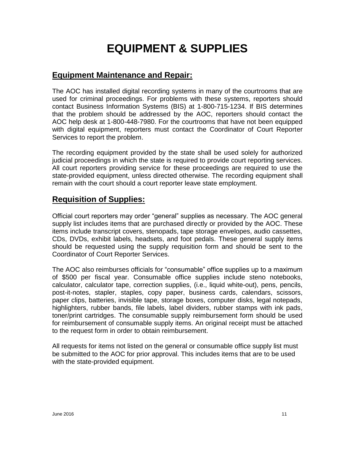## **EQUIPMENT & SUPPLIES**

#### **Equipment Maintenance and Repair:**

The AOC has installed digital recording systems in many of the courtrooms that are used for criminal proceedings. For problems with these systems, reporters should contact Business Information Systems (BIS) at 1-800-715-1234. If BIS determines that the problem should be addressed by the AOC, reporters should contact the AOC help desk at 1-800-448-7980. For the courtrooms that have not been equipped with digital equipment, reporters must contact the Coordinator of Court Reporter Services to report the problem.

The recording equipment provided by the state shall be used solely for authorized judicial proceedings in which the state is required to provide court reporting services. All court reporters providing service for these proceedings are required to use the state-provided equipment, unless directed otherwise. The recording equipment shall remain with the court should a court reporter leave state employment.

#### **Requisition of Supplies:**

Official court reporters may order "general" supplies as necessary. The AOC general supply list includes items that are purchased directly or provided by the AOC. These items include transcript covers, stenopads, tape storage envelopes, audio cassettes, CDs, DVDs, exhibit labels, headsets, and foot pedals. These general supply items should be requested using the supply requisition form and should be sent to the Coordinator of Court Reporter Services.

The AOC also reimburses officials for "consumable" office supplies up to a maximum of \$500 per fiscal year. Consumable office supplies include steno notebooks, calculator, calculator tape, correction supplies, (i.e., liquid white-out), pens, pencils, post-it-notes, stapler, staples, copy paper, business cards, calendars, scissors, paper clips, batteries, invisible tape, storage boxes, computer disks, legal notepads, highlighters, rubber bands, file labels, label dividers, rubber stamps with ink pads, toner/print cartridges. The consumable supply reimbursement form should be used for reimbursement of consumable supply items. An original receipt must be attached to the request form in order to obtain reimbursement.

All requests for items not listed on the general or consumable office supply list must be submitted to the AOC for prior approval. This includes items that are to be used with the state-provided equipment.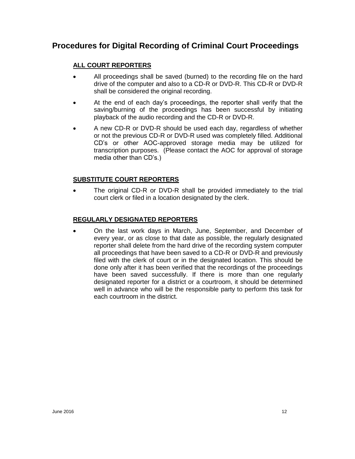#### **Procedures for Digital Recording of Criminal Court Proceedings**

#### **ALL COURT REPORTERS**

- All proceedings shall be saved (burned) to the recording file on the hard drive of the computer and also to a CD-R or DVD-R. This CD-R or DVD-R shall be considered the original recording.
- At the end of each day's proceedings, the reporter shall verify that the saving/burning of the proceedings has been successful by initiating playback of the audio recording and the CD-R or DVD-R.
- A new CD-R or DVD-R should be used each day, regardless of whether or not the previous CD-R or DVD-R used was completely filled. Additional CD's or other AOC-approved storage media may be utilized for transcription purposes. (Please contact the AOC for approval of storage media other than CD's.)

#### **SUBSTITUTE COURT REPORTERS**

 The original CD-R or DVD-R shall be provided immediately to the trial court clerk or filed in a location designated by the clerk.

#### **REGULARLY DESIGNATED REPORTERS**

 On the last work days in March, June, September, and December of every year, or as close to that date as possible, the regularly designated reporter shall delete from the hard drive of the recording system computer all proceedings that have been saved to a CD-R or DVD-R and previously filed with the clerk of court or in the designated location. This should be done only after it has been verified that the recordings of the proceedings have been saved successfully. If there is more than one regularly designated reporter for a district or a courtroom, it should be determined well in advance who will be the responsible party to perform this task for each courtroom in the district.